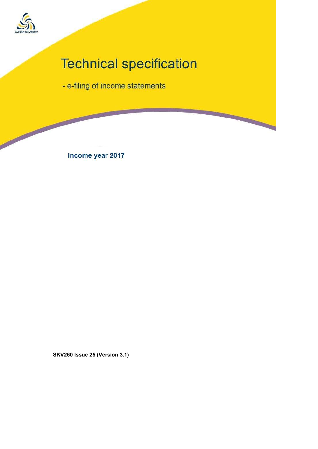

**Contract Contract Contract Contract** 

# **Technical specification**

**Report** 

- e-filing of income statements

Income year 2017

SKV260 Issue 25 (Version 3.1)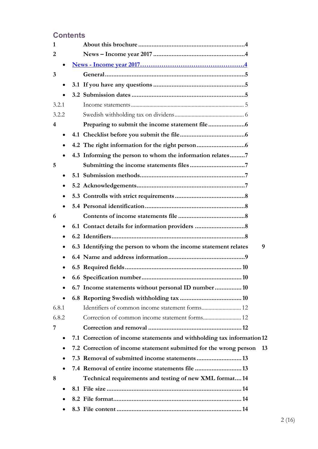# **Contents**

| 4.3 Informing the person to whom the information relates7              |  |
|------------------------------------------------------------------------|--|
|                                                                        |  |
|                                                                        |  |
|                                                                        |  |
|                                                                        |  |
|                                                                        |  |
|                                                                        |  |
|                                                                        |  |
|                                                                        |  |
| 6.3 Identifying the person to whom the income statement relates        |  |
|                                                                        |  |
|                                                                        |  |
| 10                                                                     |  |
| 6.7 Income statements without personal ID number 10                    |  |
|                                                                        |  |
| Identifiers of common income statement forms 12                        |  |
|                                                                        |  |
|                                                                        |  |
| 7.1 Correction of income statements and withholding tax information 12 |  |
| 7.2 Correction of income statement submitted for the wrong person      |  |
| 7.3 Removal of submitted income statements  13                         |  |
|                                                                        |  |
| Technical requirements and testing of new XML format14                 |  |
|                                                                        |  |
|                                                                        |  |
|                                                                        |  |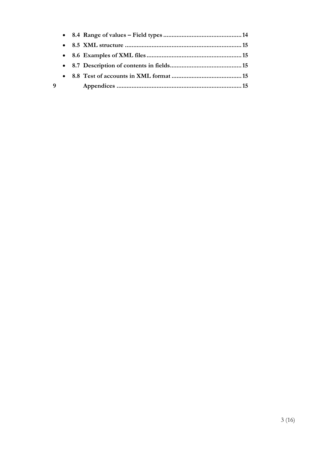| q |  |  |
|---|--|--|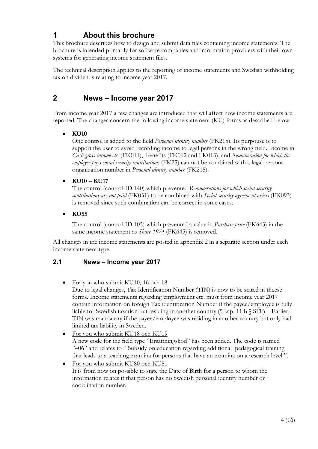# 1 About this brochure

This brochure describes how to design and submit data files containing income statements. The brochure is intended primarily for software companies and information providers with their own systems for generating income statement files.

The technical description applies to the reporting of income statements and Swedish withholding tax on dividends relating to income year 2017.

## 2 News – Income year 2017

From income year 2017 a few changes are introduced that will affect how income statements are reported. The changes concern the following income statement (KU) forms as described below.

#### KU10

One control is added to the field *Personal identity number* (FK215). Its purpouse is to support the user to avoid recording income to legal persons in the wrong field. Income in Cash gross income etc. (FK011), benefits (FK012 and FK013), and Remuneration for which the employee pays social security contributions (FK25) can not be combined with a legal persons organization number in Personal identity number (FK215).

#### KU10 – KU17

The control (control-ID 140) which prevented Remunerations for which social security contributions are not paid (FK031) to be combined with Social security agreement exists (FK093) is removed since such combination can be correct in some cases.

 $\bullet$  KU55

The control (control-ID 105) which prevented a value in *Purchase price* (FK643) in the same income statement as *Share 1974* (FK645) is removed.

All changes in the income statements are posted in appendix 2 in a separate section under each income statement type.

#### 2.1 News – Income year 2017

For you who submit KU10, 16 och 18

Due to legal changes, Tax Identification Number (TIN) is now to be stated in theese forms. Income statements regarding employment etc. must from income year 2017 contain information on foreign Tax identification Number if the payee/employee is fully liable for Swedish taxation but residing in another country (5 kap. 11 b § SFF). Earlier, TIN was mandatory if the payee/employee was residing in another country but only had limited tax liability in Sweden.

- For you who submit KU18 och KU19 A new code for the field type "Ersättningskod" has been added. The code is named "406" and relates to " Subsidy on education regarding additional pedagogical training that leads to a teaching examina for persons that have an examina on a research level ".
- For you who submit KU80 och KU81 It is from now on possible to state the Date of Birth for a person to whom the information relates if that person has no Swedish personal identity number or coordination number.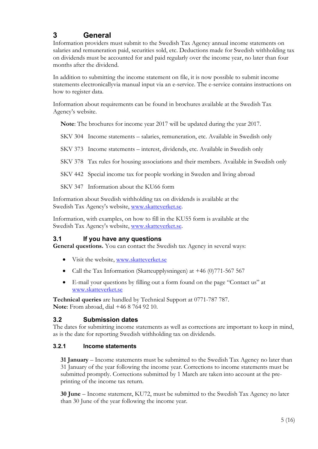# 3 General

Information providers must submit to the Swedish Tax Agency annual income statements on salaries and remuneration paid, securities sold, etc. Deductions made for Swedish withholding tax on dividends must be accounted for and paid regularly over the income year, no later than four months after the dividend.

In addition to submitting the income statement on file, it is now possible to submit income statements electronicallyvia manual input via an e-service. The e-service contains instructions on how to register data.

Information about requirements can be found in brochures available at the Swedish Tax Agency's website.

Note: The brochures for income year 2017 will be updated during the year 2017.

SKV 304 Income statements – salaries, remuneration, etc. Available in Swedish only

SKV 373 Income statements – interest, dividends, etc. Available in Swedish only

SKV 378 Tax rules for housing associations and their members. Available in Swedish only

SKV 442 Special income tax for people working in Sweden and living abroad

SKV 347 Information about the KU66 form

Information about Swedish withholding tax on dividends is available at the Swedish Tax Agency's website, www.skatteverket.se.

Information, with examples, on how to fill in the KU55 form is available at the Swedish Tax Agency's website, www.skatteverket.se.

#### 3.1 If you have any questions

General questions. You can contact the Swedish tax Agency in several ways:

- Visit the website, www.skatteverket.se
- Call the Tax Information (Skatteupplysningen) at +46 (0)771-567 567
- E-mail your questions by filling out a form found on the page "Contact us" at www.skatteverket.se

Technical queries are handled by Technical Support at 0771-787 787. Note: From abroad, dial +46 8 764 92 10.

#### 3.2 Submission dates

The dates for submitting income statements as well as corrections are important to keep in mind, as is the date for reporting Swedish withholding tax on dividends.

#### 3.2.1 Income statements

31 January – Income statements must be submitted to the Swedish Tax Agency no later than 31 January of the year following the income year. Corrections to income statements must be submitted promptly. Corrections submitted by 1 March are taken into account at the preprinting of the income tax return.

30 June – Income statement, KU72, must be submitted to the Swedish Tax Agency no later than 30 June of the year following the income year.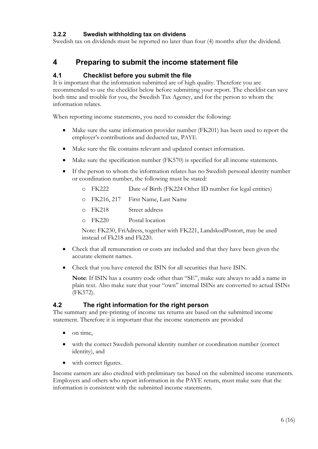#### 3.2.2 Swedish withholding tax on dividens

Swedish tax on dividends must be reported no later than four (4) months after the dividend.

## 4 Preparing to submit the income statement file

#### 4.1 Checklist before you submit the file

It is important that the information submitted are of high quality. Therefore you are recommended to use the checklist below before submitting your report. The checklist can save both time and trouble for you, the Swedish Tax Agency, and for the person to whom the information relates.

When reporting income statements, you need to consider the following:

- Make sure the same information provider number (FK201) has been used to report the employer's contributions and deducted tax, PAYE.
- Make sure the file contains relevant and updated contact information.
- Make sure the specification number (FK570) is specified for all income statements.
- If the person to whom the information relates has no Swedish personal identity number or coordination number, the following must be stated:
	- o FK222 Date of Birth (FK224 Other ID number for legal entities)
	- o FK216, 217 First Name, Last Name
	- o FK218 Street address
	- o FK220 Postal location

Note: FK230, FriAdress, together with FK221, LandskodPostort, may be used instead of Fk218 and Fk220.

- Check that all remuneration or costs are included and that they have been given the accurate element names.
- Check that you have entered the ISIN for all securities that have ISIN.

Note: If ISIN has a country code other than "SE", make sure always to add a name in plain text. Also make sure that your "own" internal ISINs are converted to actual ISINs (FK572).

#### 4.2 The right information for the right person

The summary and pre-printing of income tax returns are based on the submitted income statement. Therefore it is important that the income statements are provided

- on time,
- with the correct Swedish personal identity number or coordination number (correct identity), and
- with correct figures.

Income earners are also credited with preliminary tax based on the submitted income statements. Employers and others who report information in the PAYE return, must make sure that the information is consistent with the submitted income statements.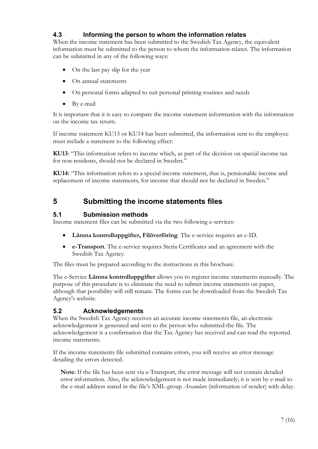#### 4.3 Informing the person to whom the information relates

When the income statement has been submitted to the Swedish Tax Agency, the equivalent information must be submitted to the person to whom the information relates. The information can be submitted in any of the following ways:

- On the last pay slip for the year
- On annual statements
- On personal forms adapted to suit personal printing routines and needs
- By e-mail

It is important that it is easy to compare the income statement inforrmation with the information on the income tax return.

If income statement KU13 or KU14 has been submitted, the information sent to the employee must include a statement to the following effect:

KU13: "This information refers to income which, as part of the decision on special income tax for non-residents, should not be declared in Sweden."

KU14: "This information refers to a special income statement, that is, pensionable income and replacement of income statements, for income that should not be declared in Sweden."

## 5 Submitting the income statements files

#### 5.1 Submission methods

Income statement files can be submitted via the two following e-services:

- Lämna kontrolluppgifter, Filöverföring. The e-service requires an e-ID.
- e-Transport. The e-service requires Steria Certificates and an agreement with the Swedish Tax Agency.

The files must be prepared according to the instructions in this brochure.

The e-Service Lämna kontrolluppgifter allows you to register income statements manually. The purpose of this procedure is to eliminate the need to submit income statements on paper, although that possibility will still remain. The forms can be downloaded from the Swedish Tax Agency's website.

#### 5.2 Acknowledgements

When the Swedish Tax Agency receives an accurate income statements file, an electronic acknowledgement is generated and sent to the person who submitted the file. The acknowledgement is a confirmation that the Tax Agency has received and can read the reported income statements.

If the income statements file submitted contains errors, you will receive an error message detailing the errors detected.

Note: If the file has been sent via e-Transport, the error message will not contain detailed error information. Also, the acknowledgement is not made immediately; it is sent by e-mail to the e-mail address stated in the file's XML-group *Avsandare* (information of sender) with delay.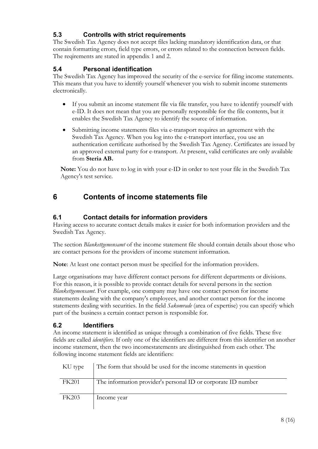### 5.3 Controlls with strict requirements

The Swedish Tax Agency does not accept files lacking mandatory identification data, or that contain formatting errors, field type errors, or errors related to the connection between fields. The reqirements are stated in appendix 1 and 2.

#### 5.4 Personal identification

The Swedish Tax Agency has improved the security of the e-service for filing income statements. This means that you have to identify yourself whenever you wish to submit income statements electronically.

- If you submit an income statement file via file transfer, you have to identify yourself with e-ID. It does not mean that you are personally responsible for the file contents, but it enables the Swedish Tax Agency to identify the source of information.
- Submitting income statements files via e-transport requires an agreement with the Swedish Tax Agency. When you log into the e-transport interface, you use an authentication certificate authorised by the Swedish Tax Agency. Certificates are issued by an approved external party for e-transport. At present, valid certificates are only available from Steria AB.

Note: You do not have to log in with your e-ID in order to test your file in the Swedish Tax Agency's test service.

# 6 Contents of income statements file

#### 6.1 Contact details for information providers

Having access to accurate contact details makes it easier for both information providers and the Swedish Tax Agency.

The section Blankettgemensamt of the income statement file should contain details about those who are contact persons for the providers of income statement information.

Note: At least one contact person must be specified for the information providers.

Large organisations may have different contact persons for different departments or divisions. For this reason, it is possible to provide contact details for several persons in the section Blankettgemensamt. For example, one company may have one contact person for income statements dealing with the company's employees, and another contact person for the income statements dealing with securities. In the field Sakomrade (area of expertise) you can specify which part of the business a certain contact person is responsible for.

#### 6.2 Identifiers

An income statement is identified as unique through a combination of five fields. These five fields are called identifiers. If only one of the identifiers are different from this identifier on another income statement, then the two incomestatements are distinguished from each other. The following income statement fields are identifiers:

| KU type      | The form that should be used for the income statements in question |
|--------------|--------------------------------------------------------------------|
| <b>FK201</b> | The information provider's personal ID or corporate ID number      |
| <b>FK203</b> | Income year                                                        |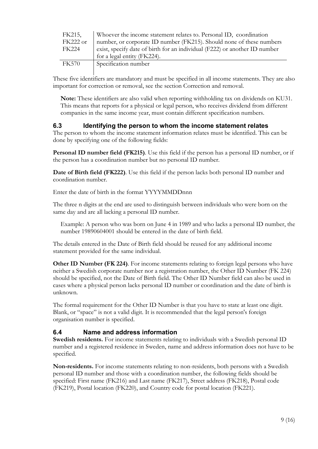| FK215,   | Whoever the income statement relates to. Personal ID, coordination         |  |
|----------|----------------------------------------------------------------------------|--|
| FK222 or | number, or corporate ID number (FK215). Should none of these numbers       |  |
| FK224    | exist, specify date of birth for an individual (F222) or another ID number |  |
|          | for a legal entity (FK224).                                                |  |
| FK570    | Specification number                                                       |  |
|          |                                                                            |  |

These five identifiers are mandatory and must be specified in all income statements. They are also important for correction or removal, see the section Correction and removal.

Note: These identifiers are also valid when reporting withholding tax on dividends on KU31. This means that reports for a physical or legal person, who receives dividend from different companies in the same income year, must contain different specification numbers.

#### 6.3 Identifying the person to whom the income statement relates

The person to whom the income statement information relates must be identified. This can be done by specifying one of the following fields:

Personal ID number field (FK215). Use this field if the person has a personal ID number, or if the person has a coordination number but no personal ID number.

Date of Birth field (FK222). Use this field if the person lacks both personal ID number and coordination number.

Enter the date of birth in the format YYYYMMDDnnn

The three n digits at the end are used to distinguish between individuals who were born on the same day and are all lacking a personal ID number.

Example: A person who was born on June 4 in 1989 and who lacks a personal ID number, the number 19890604001 should be entered in the date of birth field.

The details entered in the Date of Birth field should be reused for any additional income statement provided for the same individual.

Other ID Number (FK 224). For income statements relating to foreign legal persons who have neither a Swedish corporate number nor a registration number, the Other ID Number (FK 224) should be specified, not the Date of Birth field. The Other ID Number field can also be used in cases where a physical person lacks personal ID number or coordination and the date of birth is unknown.

The formal requirement for the Other ID Number is that you have to state at least one digit. Blank, or "space" is not a valid digit. It is recommended that the legal person's foreign organisation number is specified.

#### 6.4 Name and address information

Swedish residents. For income statements relating to individuals with a Swedish personal ID number and a registered residence in Sweden, name and address information does not have to be specified.

Non-residents. For income statements relating to non-residents, both persons with a Swedish personal ID number and those with a coordination number, the following fields should be specified: First name (FK216) and Last name (FK217), Street address (FK218), Postal code (FK219), Postal location (FK220), and Country code for postal location (FK221).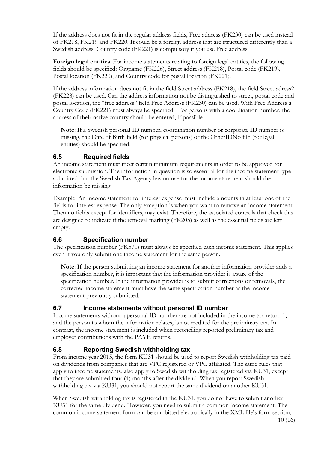If the address does not fit in the regular address fields, Free address (FK230) can be used instead of FK218, FK219 and FK220. It could be a foreign address that are structured differently than a Swedish address. Country code (FK221) is compulsory if you use Free address.

Foreign legal entities. For income statements relating to foreign legal entities, the following fields should be specified: Orgname (FK226), Street address (FK218), Postal code (FK219), Postal location (FK220), and Country code for postal location (FK221).

If the address information does not fit in the field Street address (FK218), the field Street adress2 (FK228) can be used. Can the address information not be distinguished to street, postal code and postal location, the "free address" field Free Address (FK230) can be used. With Free Address a Country Code (FK221) must always be specified. For persons with a coordination number, the address of their native country should be entered, if possible.

Note: If a Swedish personal ID number, coordination number or corporate ID number is missing, the Date of Birth field (for physical persons) or the OtherIDNo fild (for legal entities) should be specified.

#### 6.5 Required fields

An income statement must meet certain minimum requirements in order to be approved for electronic submission. The information in question is so essential for the income statement type submitted that the Swedish Tax Agency has no use for the income statement should the information be missing.

Example: An income statement for interest expense must include amounts in at least one of the fields for interest expense. The only exception is when you want to remove an income statement. Then no fields except for identifiers, may exist. Therefore, the associated controls that check this are designed to indicate if the removal marking (FK205) as well as the essential fields are left empty.

#### 6.6 Specification number

The specification number (FK570) must always be specified each income statement. This applies even if you only submit one income statement for the same person.

Note: If the person submitting an income statement for another information provider adds a specification number, it is important that the information provider is aware of the specification number. If the information provider is to submit corrections or removals, the corrected income statement must have the same specification number as the income statement previously submitted.

#### 6.7 Income statements without personal ID number

Income statements without a personal ID number are not included in the income tax return 1, and the person to whom the information relates, is not credited for the preliminary tax. In contrast, the income statement is included when reconciling reported preliminary tax and employer contributions with the PAYE returns.

#### 6.8 Reporting Swedish withholding tax

From income year 2015, the form KU31 should be used to report Swedish withholding tax paid on dividends from companies that are VPC registered or VPC affiliated. The same rules that apply to income statements, also apply to Swedish withholding tax registered via KU31, except that they are submitted four (4) months after the dividend. When you report Swedish withholding tax via KU31, you should not report the same dividend on another KU31.

When Swedish withholding tax is registered in the KU31, you do not have to submit another KU31 for the same dividend. However, you need to submit a common income statement. The common income statement form can be sumbitted electronically in the XML file's form section,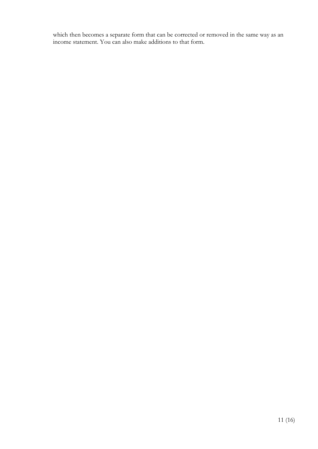which then becomes a separate form that can be corrected or removed in the same way as an income statement. You can also make additions to that form.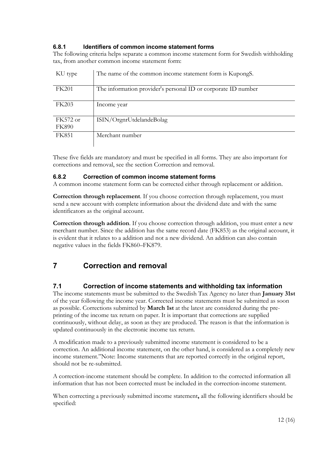#### 6.8.1 Identifiers of common income statement forms

The following criteria helps separate a common income statement form for Swedish withholding tax, from another common income statement form:

| KU type      | The name of the common income statement form is KupongS.      |
|--------------|---------------------------------------------------------------|
| <b>FK201</b> | The information provider's personal ID or corporate ID number |
| FK203        | Income year                                                   |
| FK572 or     | ISIN/OrgnrUtdelandeBolag                                      |
| <b>FK890</b> |                                                               |
| FK851        | Merchant number                                               |

These five fields are mandatory and must be specified in all forms. They are also important for corrections and removal, see the section Correction and removal.

#### 6.8.2 Correction of common income statement forms

A common income statement form can be corrected either through replacement or addition.

Correction through replacement. If you choose correction through replacement, you must send a new account with complete information about the dividend date and with the same identificators as the original account.

Correction through addition. If you choose correction through addition, you must enter a new merchant number. Since the addition has the same record date (FK853) as the original account, it is evident that it relates to a addition and not a new dividend. An addition can also contain negative values in the fields FK860–FK879.

# 7 Correction and removal

#### 7.1 Correction of income statements and withholding tax information

The income statements must be submitted to the Swedish Tax Agency no later than January 31st of the year following the income year. Corrected income statements must be submitted as soon as possible. Corrections submitted by March 1st at the latest are considered during the preprinting of the income tax return on paper. It is important that corrections are supplied continuously, without delay, as soon as they are produced. The reason is that the information is updated continuously in the electronic income tax return.

A modification made to a previously submitted income statement is considered to be a correction. An additional income statement, on the other hand, is considered as a completely new income statement."Note: Income statements that are reported correctly in the original report, should not be re-submitted.

A correction-income statement should be complete. In addition to the corrected information all information that has not been corrected must be included in the correction-income statement.

When correcting a previously submitted income statement, all the following identifiers should be specified: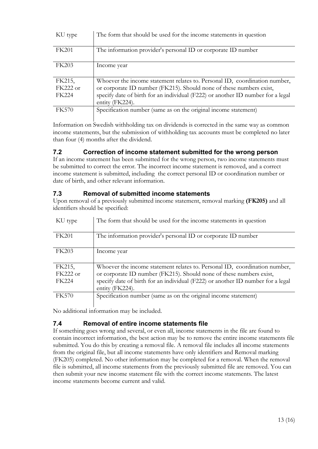| KU type      | The form that should be used for the income statements in question                                 |
|--------------|----------------------------------------------------------------------------------------------------|
| <b>FK201</b> | The information provider's personal ID or corporate ID number                                      |
| <b>FK203</b> | Income year                                                                                        |
| FK215,       | Whoever the income statement relates to. Personal ID, coordination number,                         |
| FK222 or     | or corporate ID number (FK215). Should none of these numbers exist,                                |
| <b>FK224</b> | specify date of birth for an individual (F222) or another ID number for a legal<br>entity (FK224). |
| <b>FK570</b> | Specification number (same as on the original income statement)                                    |

Information on Swedish withholding tax on dividends is corrected in the same way as common income statements, but the submission of withholding tax accounts must be completed no later than four (4) months after the dividend.

#### 7.2 Correction of income statement submitted for the wrong person

If an income statement has been submitted for the wrong person, two income statements must be submitted to correct the error. The incorrect income statement is removed, and a correct income statement is submitted, including the correct personal ID or coordination number or date of birth, and other relevant information.

#### 7.3 Removal of submitted income statements

Upon removal of a previously submitted income statement, removal marking (FK205) and all identifiers should be specified:

| KU type      | The form that should be used for the income statements in question                                 |
|--------------|----------------------------------------------------------------------------------------------------|
| <b>FK201</b> | The information provider's personal ID or corporate ID number                                      |
| <b>FK203</b> | Income year                                                                                        |
| FK215,       | Whoever the income statement relates to. Personal ID, coordination number,                         |
| FK222 or     | or corporate ID number (FK215). Should none of these numbers exist,                                |
| <b>FK224</b> | specify date of birth for an individual (F222) or another ID number for a legal<br>entity (FK224). |
| <b>FK570</b> | Specification number (same as on the original income statement)                                    |

No additional information may be included.

#### 7.4 Removal of entire income statements file

If something goes wrong and several, or even all, income statements in the file are found to contain incorrect information, the best action may be to remove the entire income statements file submitted. You do this by creating a removal file. A removal file includes all income statements from the original file, but all income statements have only identifiers and Removal marking (FK205) completed. No other information may be completed for a removal. When the removal file is submitted, all income statements from the previously submitted file are removed. You can then submit your new income statement file with the correct income statements. The latest income statements become current and valid.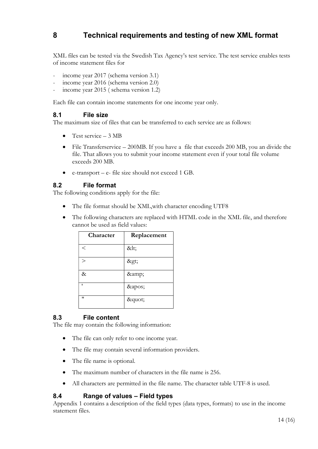# 8 Technical requirements and testing of new XML format

XML files can be tested via the Swedish Tax Agency's test service. The test service enables tests of income statement files for

- income year 2017 (schema version 3.1)
- income year 2016 (schema version 2.0)
- income year 2015 ( schema version 1.2)

Each file can contain income statements for one income year only.

#### 8.1 File size

The maximum size of files that can be transferred to each service are as follows:

- Test service  $-3 \text{ MB}$
- File Transferservice 200MB. If you have a file that exceeds 200 MB, you an divide the file. That allows you to submit your income statement even if your total file volume exceeds 200 MB.
- e-transport e- file size should not exceed 1 GB.

#### 8.2 File format

The following conditions apply for the file:

- The file format should be XML,with character encoding UTF8
- The following characters are replaced with HTML code in the XML file, and therefore cannot be used as field values:

| Character | Replacement |
|-----------|-------------|
| $\,<\,$   | <           |
| $\rm{>}$  | >           |
| &         | &           |
|           | '           |
| "         | "           |

#### 8.3 File content

The file may contain the following information:

- The file can only refer to one income year.
- The file may contain several information providers.
- The file name is optional.
- The maximum number of characters in the file name is 256.
- All characters are permitted in the file name. The character table UTF-8 is used.

#### 8.4 Range of values – Field types

Appendix 1 contains a description of the field types (data types, formats) to use in the income statement files.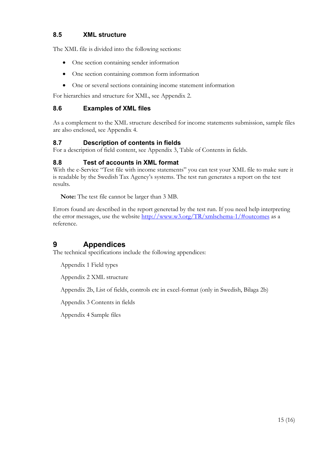#### 8.5 XML structure

The XML file is divided into the following sections:

- One section containing sender information
- One section containing common form information
- One or several sections containing income statement information

For hierarchies and structure for XML, see Appendix 2.

#### 8.6 Examples of XML files

As a complement to the XML structure described for income statements submission, sample files are also enclosed, see Appendix 4.

#### 8.7 Description of contents in fields

For a description of field content, see Appendix 3, Table of Contents in fields.

#### 8.8 Test of accounts in XML format

With the e-Service "Test file with income statements" you can test your XML file to make sure it is readable by the Swedish Tax Agency's systems. The test run generates a report on the test results.

Note: The test file cannot be larger than 3 MB.

Errors found are described in the report generetad by the test run. If you need help interpreting the error messages, use the website http://www.w3.org/TR/xmlschema-1/#outcomes as a reference.

## 9 Appendices

The technical specifications include the following appendices:

Appendix 1 Field types

Appendix 2 XML structure

Appendix 2b, List of fields, controls etc in excel-format (only in Swedish, Bilaga 2b)

Appendix 3 Contents in fields

Appendix 4 Sample files